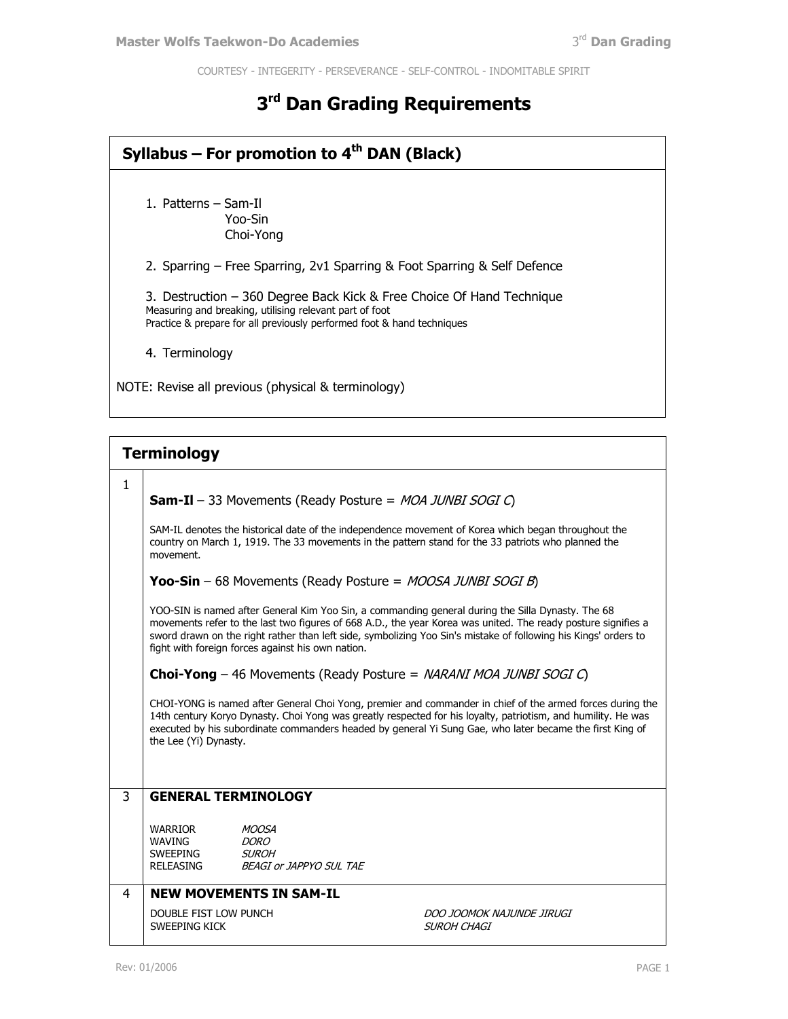COURTESY - INTEGERITY - PERSEVERANCE - SELF-CONTROL - INDOMITABLE SPIRIT

## **3 rd Dan Grading Requirements**

## **Syllabus – For promotion to 4th DAN (Black)** 1. Patterns – Sam-Il Yoo-Sin Choi-Yong 2. Sparring – Free Sparring, 2v1 Sparring & Foot Sparring & Self Defence 3. Destruction – 360 Degree Back Kick & Free Choice Of Hand Technique Measuring and breaking, utilising relevant part of foot Practice & prepare for all previously performed foot & hand techniques 4. Terminology

NOTE: Revise all previous (physical & terminology)

|   | <b>Terminology</b>                                                                                                                                                                                                                                                                                                                                                                         |                                                                               |                                          |  |  |
|---|--------------------------------------------------------------------------------------------------------------------------------------------------------------------------------------------------------------------------------------------------------------------------------------------------------------------------------------------------------------------------------------------|-------------------------------------------------------------------------------|------------------------------------------|--|--|
| 1 |                                                                                                                                                                                                                                                                                                                                                                                            |                                                                               |                                          |  |  |
|   | <b>Sam-II</b> - 33 Movements (Ready Posture = $MOA$ JUNBI SOGI $C$ )                                                                                                                                                                                                                                                                                                                       |                                                                               |                                          |  |  |
|   | SAM-IL denotes the historical date of the independence movement of Korea which began throughout the<br>country on March 1, 1919. The 33 movements in the pattern stand for the 33 patriots who planned the<br>movement.                                                                                                                                                                    |                                                                               |                                          |  |  |
|   | <b>Yoo-Sin</b> – 68 Movements (Ready Posture = $MOOSA$ JUNBI SOGI B)                                                                                                                                                                                                                                                                                                                       |                                                                               |                                          |  |  |
|   | YOO-SIN is named after General Kim Yoo Sin, a commanding general during the Silla Dynasty. The 68<br>movements refer to the last two figures of 668 A.D., the year Korea was united. The ready posture signifies a<br>sword drawn on the right rather than left side, symbolizing Yoo Sin's mistake of following his Kings' orders to<br>fight with foreign forces against his own nation. |                                                                               |                                          |  |  |
|   | <b>Choi-Yong</b> – 46 Movements (Ready Posture = <i>NARANI MOA JUNBI SOGI C</i> )                                                                                                                                                                                                                                                                                                          |                                                                               |                                          |  |  |
|   | CHOI-YONG is named after General Choi Yong, premier and commander in chief of the armed forces during the<br>14th century Koryo Dynasty. Choi Yong was greatly respected for his loyalty, patriotism, and humility. He was<br>executed by his subordinate commanders headed by general Yi Sung Gae, who later became the first King of<br>the Lee (Yi) Dynasty.                            |                                                                               |                                          |  |  |
|   |                                                                                                                                                                                                                                                                                                                                                                                            |                                                                               |                                          |  |  |
| 3 | <b>GENERAL TERMINOLOGY</b>                                                                                                                                                                                                                                                                                                                                                                 |                                                                               |                                          |  |  |
|   | WARRIOR<br><b>WAVING</b><br>SWEEPING<br>RELEASING                                                                                                                                                                                                                                                                                                                                          | <b>MOOSA</b><br><i>DORO</i><br><b>SUROH</b><br><b>BEAGI or JAPPYO SUL TAE</b> |                                          |  |  |
| 4 |                                                                                                                                                                                                                                                                                                                                                                                            | <b>NEW MOVEMENTS IN SAM-IL</b>                                                |                                          |  |  |
|   | DOUBLE FIST LOW PUNCH<br>SWEEPING KICK                                                                                                                                                                                                                                                                                                                                                     |                                                                               | DOO JOOMOK NAJUNDE JIRUGI<br>SUROH CHAGI |  |  |